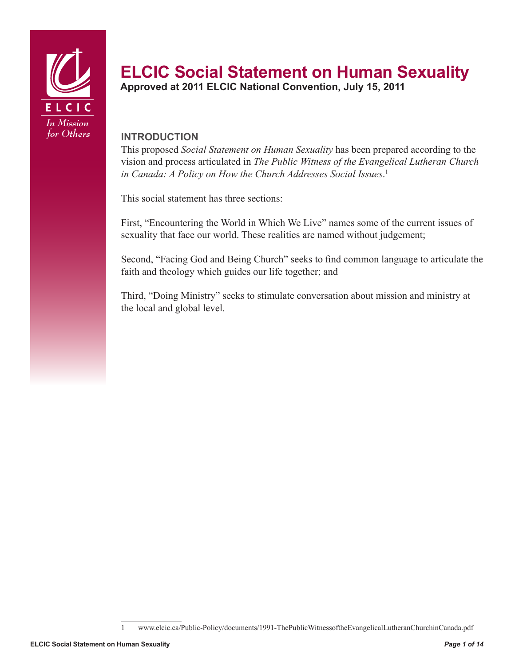

# **ELCIC Social Statement on Human Sexuality** Approved at 2011 ELCIC National Convention, July 15, 2011

#### **Introduction**

This proposed *Social Statement on Human Sexuality* has been prepared according to the vision and process articulated in *The Public Witness of the Evangelical Lutheran Church in Canada: A Policy on How the Church Addresses Social Issues*. 1

This social statement has three sections:

First, "Encountering the World in Which We Live" names some of the current issues of sexuality that face our world. These realities are named without judgement;

Second, "Facing God and Being Church" seeks to find common language to articulate the faith and theology which guides our life together; and

Third, "Doing Ministry" seeks to stimulate conversation about mission and ministry at the local and global level.

<sup>1</sup> www.elcic.ca/Public-Policy/documents/1991-ThePublicWitnessoftheEvangelicalLutheranChurchinCanada.pdf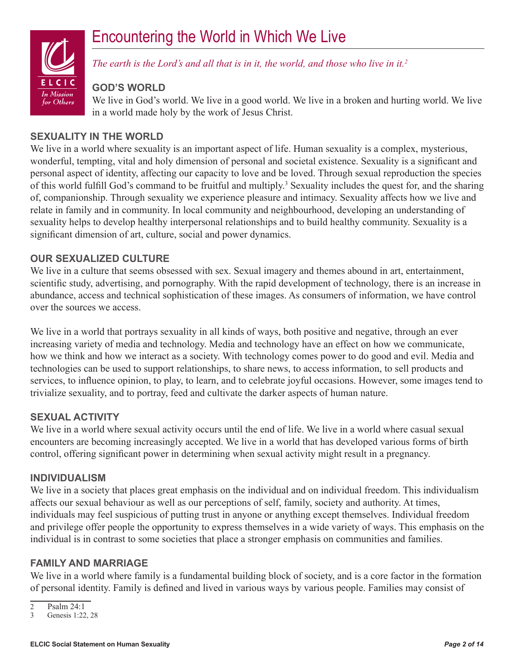# Encountering the World in Which We Live



*The earth is the Lord's and all that is in it, the world, and those who live in it.2*

#### **God's World**

We live in God's world. We live in a good world. We live in a broken and hurting world. We live in a world made holy by the work of Jesus Christ.

#### **Sexuality in the World**

We live in a world where sexuality is an important aspect of life. Human sexuality is a complex, mysterious, wonderful, tempting, vital and holy dimension of personal and societal existence. Sexuality is a significant and personal aspect of identity, affecting our capacity to love and be loved. Through sexual reproduction the species of this world fulfill God's command to be fruitful and multiply.<sup>3</sup> Sexuality includes the quest for, and the sharing of, companionship. Through sexuality we experience pleasure and intimacy. Sexuality affects how we live and relate in family and in community. In local community and neighbourhood, developing an understanding of sexuality helps to develop healthy interpersonal relationships and to build healthy community. Sexuality is a significant dimension of art, culture, social and power dynamics.

#### **Our Sexualized Culture**

We live in a culture that seems obsessed with sex. Sexual imagery and themes abound in art, entertainment, scientific study, advertising, and pornography. With the rapid development of technology, there is an increase in abundance, access and technical sophistication of these images. As consumers of information, we have control over the sources we access.

We live in a world that portrays sexuality in all kinds of ways, both positive and negative, through an ever increasing variety of media and technology. Media and technology have an effect on how we communicate, how we think and how we interact as a society. With technology comes power to do good and evil. Media and technologies can be used to support relationships, to share news, to access information, to sell products and services, to influence opinion, to play, to learn, and to celebrate joyful occasions. However, some images tend to trivialize sexuality, and to portray, feed and cultivate the darker aspects of human nature.

#### **Sexual Activity**

We live in a world where sexual activity occurs until the end of life. We live in a world where casual sexual encounters are becoming increasingly accepted. We live in a world that has developed various forms of birth control, offering significant power in determining when sexual activity might result in a pregnancy.

#### **Individualism**

We live in a society that places great emphasis on the individual and on individual freedom. This individualism affects our sexual behaviour as well as our perceptions of self, family, society and authority. At times, individuals may feel suspicious of putting trust in anyone or anything except themselves. Individual freedom and privilege offer people the opportunity to express themselves in a wide variety of ways. This emphasis on the individual is in contrast to some societies that place a stronger emphasis on communities and families.

#### **Family and Marriage**

We live in a world where family is a fundamental building block of society, and is a core factor in the formation of personal identity. Family is defined and lived in various ways by various people. Families may consist of

 $\overline{2}$  Psalm 24:1<br>3 Genesis 1:22

Genesis 1:22, 28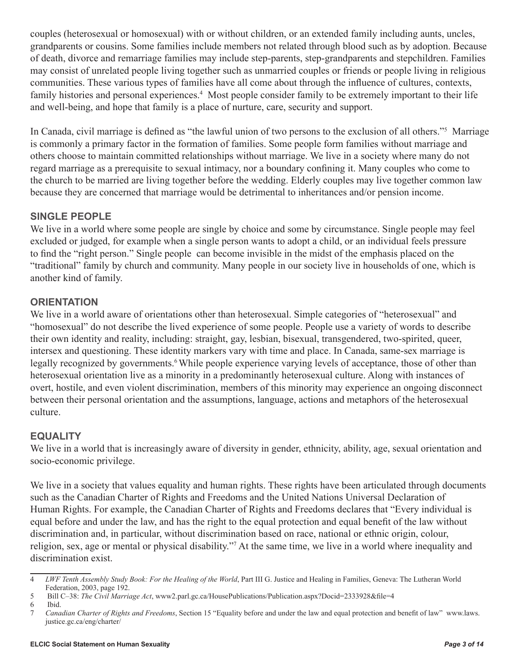couples (heterosexual or homosexual) with or without children, or an extended family including aunts, uncles, grandparents or cousins. Some families include members not related through blood such as by adoption. Because of death, divorce and remarriage families may include step-parents, step-grandparents and stepchildren. Families may consist of unrelated people living together such as unmarried couples or friends or people living in religious communities. These various types of families have all come about through the influence of cultures, contexts, family histories and personal experiences.<sup>4</sup> Most people consider family to be extremely important to their life and well-being, and hope that family is a place of nurture, care, security and support.

In Canada, civil marriage is defined as "the lawful union of two persons to the exclusion of all others."<sup>5</sup> Marriage is commonly a primary factor in the formation of families. Some people form families without marriage and others choose to maintain committed relationships without marriage. We live in a society where many do not regard marriage as a prerequisite to sexual intimacy, nor a boundary confining it. Many couples who come to the church to be married are living together before the wedding. Elderly couples may live together common law because they are concerned that marriage would be detrimental to inheritances and/or pension income.

# **Single People**

We live in a world where some people are single by choice and some by circumstance. Single people may feel excluded or judged, for example when a single person wants to adopt a child, or an individual feels pressure to find the "right person." Single people can become invisible in the midst of the emphasis placed on the "traditional" family by church and community. Many people in our society live in households of one, which is another kind of family.

# **Orientation**

We live in a world aware of orientations other than heterosexual. Simple categories of "heterosexual" and "homosexual" do not describe the lived experience of some people. People use a variety of words to describe their own identity and reality, including: straight, gay, lesbian, bisexual, transgendered, two-spirited, queer, intersex and questioning. These identity markers vary with time and place. In Canada, same-sex marriage is legally recognized by governments.<sup>6</sup> While people experience varying levels of acceptance, those of other than heterosexual orientation live as a minority in a predominantly heterosexual culture. Along with instances of overt, hostile, and even violent discrimination, members of this minority may experience an ongoing disconnect between their personal orientation and the assumptions, language, actions and metaphors of the heterosexual culture.

# **Equality**

We live in a world that is increasingly aware of diversity in gender, ethnicity, ability, age, sexual orientation and socio-economic privilege.

We live in a society that values equality and human rights. These rights have been articulated through documents such as the Canadian Charter of Rights and Freedoms and the United Nations Universal Declaration of Human Rights. For example, the Canadian Charter of Rights and Freedoms declares that "Every individual is equal before and under the law, and has the right to the equal protection and equal benefit of the law without discrimination and, in particular, without discrimination based on race, national or ethnic origin, colour, religion, sex, age or mental or physical disability."<sup>7</sup> At the same time, we live in a world where inequality and discrimination exist.

<sup>4</sup> *LWF Tenth Assembly Study Book: For the Healing of the World*, Part III G. Justice and Healing in Families, Geneva: The Lutheran World Federation, 2003, page 192.

<sup>5</sup> Bill C–38: *The Civil Marriage Act*, www2.parl.gc.ca/HousePublications/Publication.aspx?Docid=2333928&file=4

<sup>6</sup> Ibid.

<sup>7</sup> *Canadian Charter of Rights and Freedoms*, Section 15 "Equality before and under the law and equal protection and benefit of law" www.laws. justice.gc.ca/eng/charter/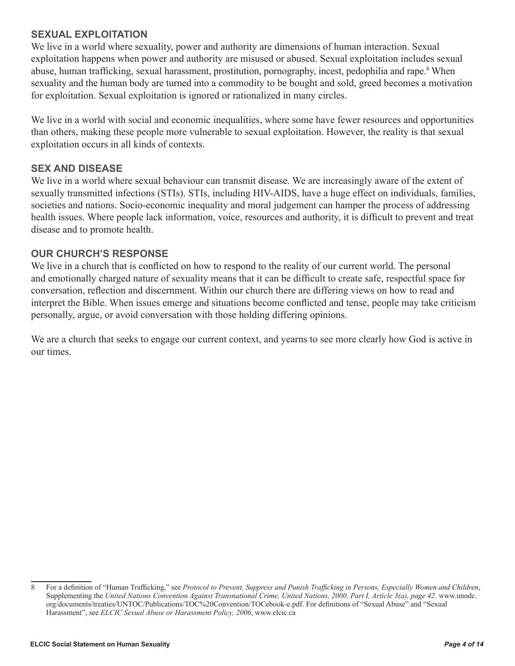#### **Sexual Exploitation**

We live in a world where sexuality, power and authority are dimensions of human interaction. Sexual exploitation happens when power and authority are misused or abused. Sexual exploitation includes sexual abuse, human trafficking, sexual harassment, prostitution, pornography, incest, pedophilia and rape.<sup>8</sup> When sexuality and the human body are turned into a commodity to be bought and sold, greed becomes a motivation for exploitation. Sexual exploitation is ignored or rationalized in many circles.

We live in a world with social and economic inequalities, where some have fewer resources and opportunities than others, making these people more vulnerable to sexual exploitation. However, the reality is that sexual exploitation occurs in all kinds of contexts.

#### **Sex and Disease**

We live in a world where sexual behaviour can transmit disease. We are increasingly aware of the extent of sexually transmitted infections (STIs). STIs, including HIV-AIDS, have a huge effect on individuals, families, societies and nations. Socio-economic inequality and moral judgement can hamper the process of addressing health issues. Where people lack information, voice, resources and authority, it is difficult to prevent and treat disease and to promote health.

#### **Our Church's Response**

We live in a church that is conflicted on how to respond to the reality of our current world. The personal and emotionally charged nature of sexuality means that it can be difficult to create safe, respectful space for conversation, reflection and discernment. Within our church there are differing views on how to read and interpret the Bible. When issues emerge and situations become conflicted and tense, people may take criticism personally, argue, or avoid conversation with those holding differing opinions.

We are a church that seeks to engage our current context, and yearns to see more clearly how God is active in our times.

<sup>8</sup> For a definition of "Human Trafficking," see *Protocol to Prevent, Suppress and Punish Trafficking in Persons, Especially Women and Children*, Supplementing the *United Nations Convention Against Transnational Crime, United Nations, 2000. Part I, Article 3(a), page 42*. www.unodc. org/documents/treaties/UNTOC/Publications/TOC%20Convention/TOCebook-e.pdf. For definitions of "Sexual Abuse" and "Sexual Harassment", see *ELCIC Sexual Abuse or Harassment Policy, 2006*, www.elcic.ca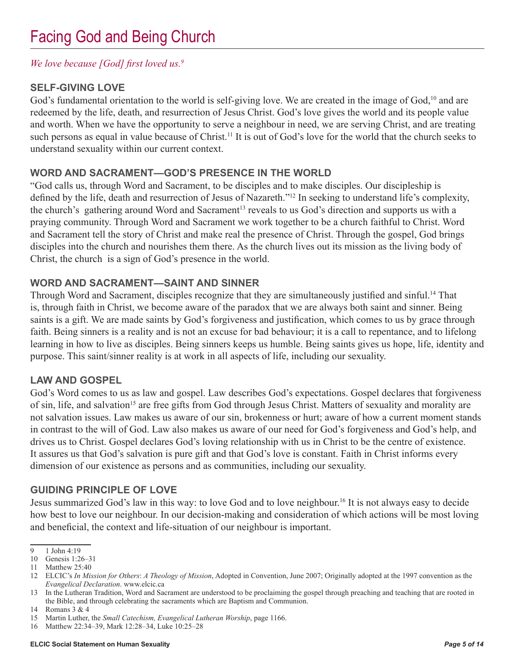# *We love because [God] first loved us.<sup>9</sup>*

# **Self-Giving Love**

God's fundamental orientation to the world is self-giving love. We are created in the image of God,<sup>10</sup> and are redeemed by the life, death, and resurrection of Jesus Christ. God's love gives the world and its people value and worth. When we have the opportunity to serve a neighbour in need, we are serving Christ, and are treating such persons as equal in value because of Christ.<sup>11</sup> It is out of God's love for the world that the church seeks to understand sexuality within our current context.

# **Word and Sacrament—God's Presence in the World**

"God calls us, through Word and Sacrament, to be disciples and to make disciples. Our discipleship is defined by the life, death and resurrection of Jesus of Nazareth."12 In seeking to understand life's complexity, the church's gathering around Word and Sacrament<sup>13</sup> reveals to us God's direction and supports us with a praying community. Through Word and Sacrament we work together to be a church faithful to Christ. Word and Sacrament tell the story of Christ and make real the presence of Christ. Through the gospel, God brings disciples into the church and nourishes them there. As the church lives out its mission as the living body of Christ, the church is a sign of God's presence in the world.

#### **Word and Sacrament—Saint and Sinner**

Through Word and Sacrament, disciples recognize that they are simultaneously justified and sinful.14 That is, through faith in Christ, we become aware of the paradox that we are always both saint and sinner. Being saints is a gift. We are made saints by God's forgiveness and justification, which comes to us by grace through faith. Being sinners is a reality and is not an excuse for bad behaviour; it is a call to repentance, and to lifelong learning in how to live as disciples. Being sinners keeps us humble. Being saints gives us hope, life, identity and purpose. This saint/sinner reality is at work in all aspects of life, including our sexuality.

#### **Law and Gospel**

God's Word comes to us as law and gospel. Law describes God's expectations. Gospel declares that forgiveness of sin, life, and salvation<sup>15</sup> are free gifts from God through Jesus Christ. Matters of sexuality and morality are not salvation issues. Law makes us aware of our sin, brokenness or hurt; aware of how a current moment stands in contrast to the will of God. Law also makes us aware of our need for God's forgiveness and God's help, and drives us to Christ. Gospel declares God's loving relationship with us in Christ to be the centre of existence. It assures us that God's salvation is pure gift and that God's love is constant. Faith in Christ informs every dimension of our existence as persons and as communities, including our sexuality.

# **Guiding Principle of Love**

Jesus summarized God's law in this way: to love God and to love neighbour.16 It is not always easy to decide how best to love our neighbour. In our decision-making and consideration of which actions will be most loving and beneficial, the context and life-situation of our neighbour is important.

<sup>9</sup> 1 John 4:19

<sup>10</sup> Genesis 1:26–31

<sup>11</sup> Matthew 25:40

<sup>12</sup> ELCIC's *In Mission for Others*: *A Theology of Mission*, Adopted in Convention, June 2007; Originally adopted at the 1997 convention as the *Evangelical Declaration*. www.elcic.ca

<sup>13</sup> In the Lutheran Tradition, Word and Sacrament are understood to be proclaiming the gospel through preaching and teaching that are rooted in the Bible, and through celebrating the sacraments which are Baptism and Communion.

<sup>14</sup> Romans 3 & 4

<sup>15</sup> Martin Luther, the *Small Catechism, Evangelical Lutheran Worship*, page 1166.

<sup>16</sup> Matthew 22:34–39, Mark 12:28–34, Luke 10:25–28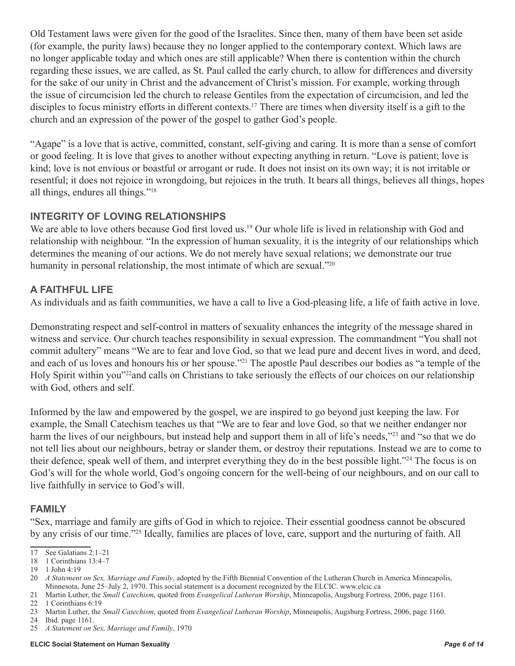Old Testament laws were given for the good of the Israelites. Since then, many of them have been set aside (for example, the purity laws) because they no longer applied to the contemporary context. Which laws are no longer applicable today and which ones are still applicable? When there is contention within the church regarding these issues, we are called, as St. Paul called the early church, to allow for differences and diversity for the sake of our unity in Christ and the advancement of Christ's mission. For example, working through the issue of circumcision led the church to release Gentiles from the expectation of circumcision, and led the disciples to focus ministry efforts in different contexts.<sup>17</sup> There are times when diversity itself is a gift to the church and an expression of the power of the gospel to gather God's people.

"Agape" is a love that is active, committed, constant, self-giving and caring. It is more than a sense of comfort or good feeling. It is love that gives to another without expecting anything in return. "Love is patient; love is kind; love is not envious or boastful or arrogant or rude. It does not insist on its own way; it is not irritable or resentful; it does not rejoice in wrongdoing, but rejoices in the truth. It bears all things, believes all things, hopes all things, endures all things."18

# **Integrity of Loving Relationships**

We are able to love others because God first loved us.<sup>19</sup> Our whole life is lived in relationship with God and relationship with neighbour. "In the expression of human sexuality, it is the integrity of our relationships which determines the meaning of our actions. We do not merely have sexual relations; we demonstrate our true humanity in personal relationship, the most intimate of which are sexual."<sup>20</sup>

#### **A Faithful Life**

As individuals and as faith communities, we have a call to live a God-pleasing life, a life of faith active in love.

Demonstrating respect and self-control in matters of sexuality enhances the integrity of the message shared in witness and service. Our church teaches responsibility in sexual expression. The commandment "You shall not commit adultery" means "We are to fear and love God, so that we lead pure and decent lives in word, and deed, and each of us loves and honours his or her spouse."21 The apostle Paul describes our bodies as "a temple of the Holy Spirit within you"22and calls on Christians to take seriously the effects of our choices on our relationship with God, others and self.

Informed by the law and empowered by the gospel, we are inspired to go beyond just keeping the law. For example, the Small Catechism teaches us that "We are to fear and love God, so that we neither endanger nor harm the lives of our neighbours, but instead help and support them in all of life's needs,"<sup>23</sup> and "so that we do not tell lies about our neighbours, betray or slander them, or destroy their reputations. Instead we are to come to their defence, speak well of them, and interpret everything they do in the best possible light."24 The focus is on God's will for the whole world, God's ongoing concern for the well-being of our neighbours, and on our call to live faithfully in service to God's will.

#### **Family**

"Sex, marriage and family are gifts of God in which to rejoice. Their essential goodness cannot be obscured by any crisis of our time."25 Ideally, families are places of love, care, support and the nurturing of faith. All

<sup>17</sup> See Galatians 2:1–21

<sup>18</sup> 1 Corinthians 13:4–7

<sup>19</sup> 1 John 4:19

<sup>20</sup> *A Statement on Sex, Marriage and Family*, adopted by the Fifth Biennial Convention of the Lutheran Church in America Minneapolis, Minnesota, June 25–July 2, 1970. This social statement is a document recognized by the ELCIC. www.elcic.ca

<sup>21</sup> Martin Luther, the *Small Catechism*, quoted from *Evangelical Lutheran Worship*, Minneapolis, Augsburg Fortress, 2006, page 1161.

<sup>22</sup> 1 Corinthians 6:19

<sup>23</sup> Martin Luther, the *Small Catechism*, quoted from *Evangelical Lutheran Worship*, Minneapolis, Augsburg Fortress, 2006, page 1160.

<sup>24</sup> Ibid. page 1161.

<sup>25</sup> *A Statement on Sex, Marriage and Family*, 1970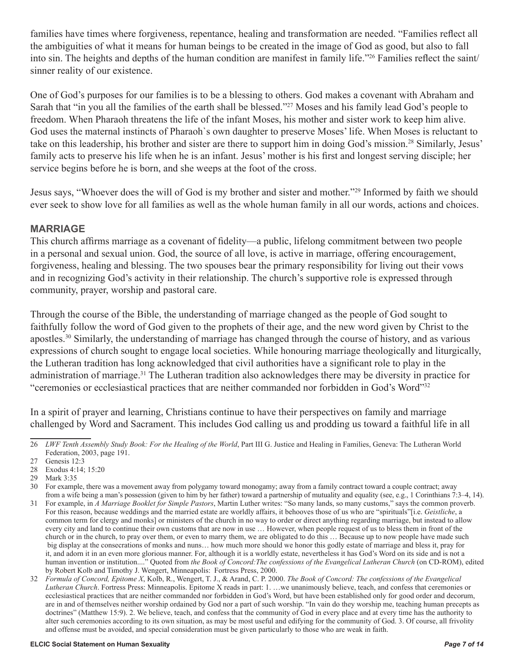families have times where forgiveness, repentance, healing and transformation are needed. "Families reflect all the ambiguities of what it means for human beings to be created in the image of God as good, but also to fall into sin. The heights and depths of the human condition are manifest in family life."26 Families reflect the saint/ sinner reality of our existence.

One of God's purposes for our families is to be a blessing to others. God makes a covenant with Abraham and Sarah that "in you all the families of the earth shall be blessed."<sup>27</sup> Moses and his family lead God's people to freedom. When Pharaoh threatens the life of the infant Moses, his mother and sister work to keep him alive. God uses the maternal instincts of Pharaoh`s own daughter to preserve Moses' life. When Moses is reluctant to take on this leadership, his brother and sister are there to support him in doing God's mission.28 Similarly, Jesus' family acts to preserve his life when he is an infant. Jesus' mother is his first and longest serving disciple; her service begins before he is born, and she weeps at the foot of the cross.

Jesus says, "Whoever does the will of God is my brother and sister and mother."29 Informed by faith we should ever seek to show love for all families as well as the whole human family in all our words, actions and choices.

#### **Marriage**

This church affirms marriage as a covenant of fidelity—a public, lifelong commitment between two people in a personal and sexual union. God, the source of all love, is active in marriage, offering encouragement, forgiveness, healing and blessing. The two spouses bear the primary responsibility for living out their vows and in recognizing God's activity in their relationship. The church's supportive role is expressed through community, prayer, worship and pastoral care.

Through the course of the Bible, the understanding of marriage changed as the people of God sought to faithfully follow the word of God given to the prophets of their age, and the new word given by Christ to the apostles.30 Similarly, the understanding of marriage has changed through the course of history, and as various expressions of church sought to engage local societies. While honouring marriage theologically and liturgically, the Lutheran tradition has long acknowledged that civil authorities have a significant role to play in the administration of marriage.<sup>31</sup> The Lutheran tradition also acknowledges there may be diversity in practice for "ceremonies or ecclesiastical practices that are neither commanded nor forbidden in God's Word"32

In a spirit of prayer and learning, Christians continue to have their perspectives on family and marriage challenged by Word and Sacrament. This includes God calling us and prodding us toward a faithful life in all

<sup>26</sup> *LWF Tenth Assembly Study Book: For the Healing of the World*, Part III G. Justice and Healing in Families, Geneva: The Lutheran World Federation, 2003, page 191.

<sup>27</sup> Genesis 12:3

<sup>28</sup> Exodus 4:14; 15:20

<sup>29</sup> Mark 3:35

<sup>30</sup> For example, there was a movement away from polygamy toward monogamy; away from a family contract toward a couple contract; away from a wife being a man's possession (given to him by her father) toward a partnership of mutuality and equality (see, e.g., 1 Corinthians 7:3–4, 14).

<sup>31</sup> For example, in *A Marriage Booklet for Simple Pastors*, Martin Luther writes: "So many lands, so many customs," says the common proverb. For this reason, because weddings and the married estate are worldly affairs, it behooves those of us who are "spirituals"[i.e. *Geistliche*, a common term for clergy and monks] or ministers of the church in no way to order or direct anything regarding marriage, but instead to allow every city and land to continue their own customs that are now in use … However, when people request of us to bless them in front of the church or in the church, to pray over them, or even to marry them, we are obligated to do this … Because up to now people have made such big display at the consecrations of monks and nuns… how much more should we honor this godly estate of marriage and bless it, pray for it, and adorn it in an even more glorious manner. For, although it is a worldly estate, nevertheless it has God's Word on its side and is not a human invention or institution...." Quoted from *the Book of Concord:The confessions of the Evangelical Lutheran Church* (on CD-ROM), edited by Robert Kolb and Timothy J. Wengert, Minneapolis: Fortress Press, 2000.

<sup>32</sup> *Formula of Concord, Epitome X*, Kolb, R., Wengert, T. J., & Arand, C. P. 2000. *The Book of Concord: The confessions of the Evangelical Lutheran Church*. Fortress Press: Minneapolis. Epitome X reads in part: 1. …we unanimously believe, teach, and confess that ceremonies or ecclesiastical practices that are neither commanded nor forbidden in God's Word, but have been established only for good order and decorum, are in and of themselves neither worship ordained by God nor a part of such worship. "In vain do they worship me, teaching human precepts as doctrines" (Matthew 15:9). 2. We believe, teach, and confess that the community of God in every place and at every time has the authority to alter such ceremonies according to its own situation, as may be most useful and edifying for the community of God. 3. Of course, all frivolity and offense must be avoided, and special consideration must be given particularly to those who are weak in faith.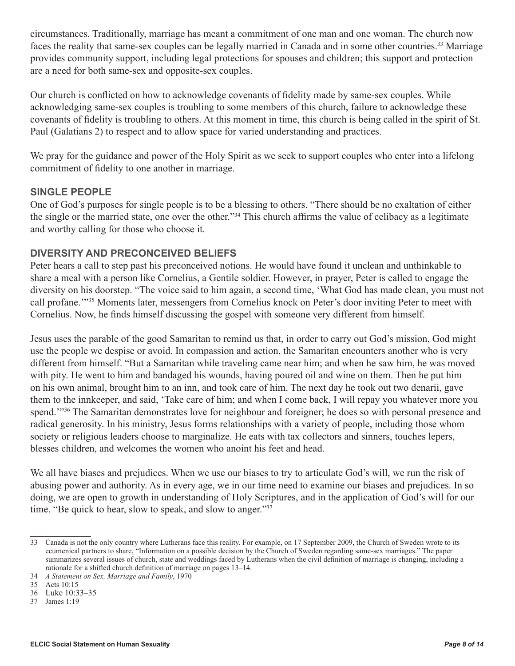circumstances. Traditionally, marriage has meant a commitment of one man and one woman. The church now faces the reality that same-sex couples can be legally married in Canada and in some other countries.<sup>33</sup> Marriage provides community support, including legal protections for spouses and children; this support and protection are a need for both same-sex and opposite-sex couples.

Our church is conflicted on how to acknowledge covenants of fidelity made by same-sex couples. While acknowledging same-sex couples is troubling to some members of this church, failure to acknowledge these covenants of fidelity is troubling to others. At this moment in time, this church is being called in the spirit of St. Paul (Galatians 2) to respect and to allow space for varied understanding and practices.

We pray for the guidance and power of the Holy Spirit as we seek to support couples who enter into a lifelong commitment of fidelity to one another in marriage.

#### **Single People**

One of God's purposes for single people is to be a blessing to others. "There should be no exaltation of either the single or the married state, one over the other."34 This church affirms the value of celibacy as a legitimate and worthy calling for those who choose it.

#### **Diversity and Preconceived Beliefs**

Peter hears a call to step past his preconceived notions. He would have found it unclean and unthinkable to share a meal with a person like Cornelius, a Gentile soldier. However, in prayer, Peter is called to engage the diversity on his doorstep. "The voice said to him again, a second time, 'What God has made clean, you must not call profane.'"35 Moments later, messengers from Cornelius knock on Peter's door inviting Peter to meet with Cornelius. Now, he finds himself discussing the gospel with someone very different from himself.

Jesus uses the parable of the good Samaritan to remind us that, in order to carry out God's mission, God might use the people we despise or avoid. In compassion and action, the Samaritan encounters another who is very different from himself. "But a Samaritan while traveling came near him; and when he saw him, he was moved with pity. He went to him and bandaged his wounds, having poured oil and wine on them. Then he put him on his own animal, brought him to an inn, and took care of him. The next day he took out two denarii, gave them to the innkeeper, and said, 'Take care of him; and when I come back, I will repay you whatever more you spend.<sup>1936</sup> The Samaritan demonstrates love for neighbour and foreigner; he does so with personal presence and radical generosity. In his ministry, Jesus forms relationships with a variety of people, including those whom society or religious leaders choose to marginalize. He eats with tax collectors and sinners, touches lepers, blesses children, and welcomes the women who anoint his feet and head.

We all have biases and prejudices. When we use our biases to try to articulate God's will, we run the risk of abusing power and authority. As in every age, we in our time need to examine our biases and prejudices. In so doing, we are open to growth in understanding of Holy Scriptures, and in the application of God's will for our time. "Be quick to hear, slow to speak, and slow to anger."<sup>37</sup>

<sup>33</sup> Canada is not the only country where Lutherans face this reality. For example, on 17 September 2009, the Church of Sweden wrote to its ecumenical partners to share, "Information on a possible decision by the Church of Sweden regarding same-sex marriages." The paper summarizes several issues of church, state and weddings faced by Lutherans when the civil definition of marriage is changing, including a rationale for a shifted church definition of marriage on pages 13–14.

<sup>34</sup> *A Statement on Sex, Marriage and Family*, 1970

<sup>35</sup> Acts 10:15

<sup>36</sup> Luke 10:33–35

<sup>37</sup> James 1:19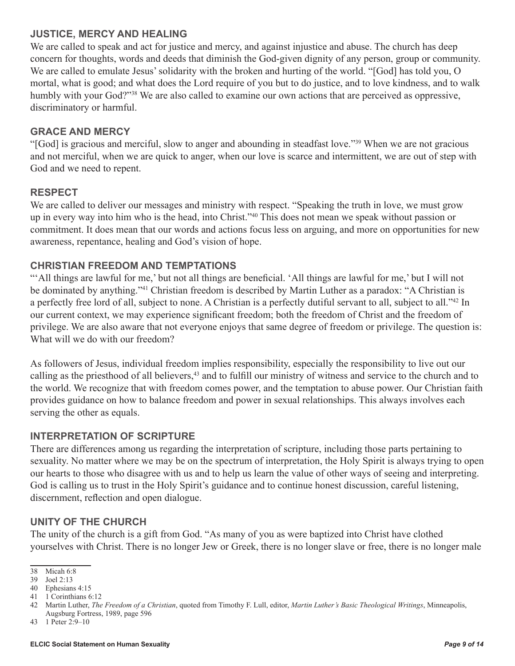#### **Justice, Mercy and Healing**

We are called to speak and act for justice and mercy, and against injustice and abuse. The church has deep concern for thoughts, words and deeds that diminish the God-given dignity of any person, group or community. We are called to emulate Jesus' solidarity with the broken and hurting of the world. "[God] has told you, O mortal, what is good; and what does the Lord require of you but to do justice, and to love kindness, and to walk humbly with your God?"<sup>38</sup> We are also called to examine our own actions that are perceived as oppressive, discriminatory or harmful.

#### **Grace and Mercy**

"[God] is gracious and merciful, slow to anger and abounding in steadfast love."39 When we are not gracious and not merciful, when we are quick to anger, when our love is scarce and intermittent, we are out of step with God and we need to repent.

#### **Respect**

We are called to deliver our messages and ministry with respect. "Speaking the truth in love, we must grow up in every way into him who is the head, into Christ."40 This does not mean we speak without passion or commitment. It does mean that our words and actions focus less on arguing, and more on opportunities for new awareness, repentance, healing and God's vision of hope.

#### **Christian Freedom and Temptations**

"'All things are lawful for me,' but not all things are beneficial. 'All things are lawful for me,' but I will not be dominated by anything."41 Christian freedom is described by Martin Luther as a paradox: "A Christian is a perfectly free lord of all, subject to none. A Christian is a perfectly dutiful servant to all, subject to all."42 In our current context, we may experience significant freedom; both the freedom of Christ and the freedom of privilege. We are also aware that not everyone enjoys that same degree of freedom or privilege. The question is: What will we do with our freedom?

As followers of Jesus, individual freedom implies responsibility, especially the responsibility to live out our calling as the priesthood of all believers,<sup>43</sup> and to fulfill our ministry of witness and service to the church and to the world. We recognize that with freedom comes power, and the temptation to abuse power. Our Christian faith provides guidance on how to balance freedom and power in sexual relationships. This always involves each serving the other as equals.

#### **Interpretation of Scripture**

There are differences among us regarding the interpretation of scripture, including those parts pertaining to sexuality. No matter where we may be on the spectrum of interpretation, the Holy Spirit is always trying to open our hearts to those who disagree with us and to help us learn the value of other ways of seeing and interpreting. God is calling us to trust in the Holy Spirit's guidance and to continue honest discussion, careful listening, discernment, reflection and open dialogue.

#### **Unity of the Church**

The unity of the church is a gift from God. "As many of you as were baptized into Christ have clothed yourselves with Christ. There is no longer Jew or Greek, there is no longer slave or free, there is no longer male

<sup>38</sup> Micah 6:8

<sup>39</sup> Joel 2:13

<sup>40</sup> Ephesians 4:15

<sup>41</sup> 1 Corinthians 6:12

<sup>42</sup> Martin Luther, *The Freedom of a Christian*, quoted from Timothy F. Lull, editor, *Martin Luther's Basic Theological Writings*, Minneapolis,

Augsburg Fortress, 1989, page 596

<sup>43</sup> 1 Peter 2:9–10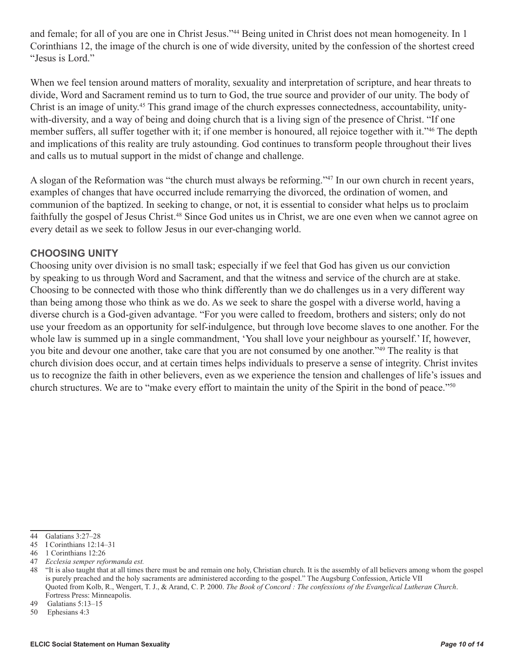and female; for all of you are one in Christ Jesus."44 Being united in Christ does not mean homogeneity. In 1 Corinthians 12, the image of the church is one of wide diversity, united by the confession of the shortest creed "Jesus is Lord."

When we feel tension around matters of morality, sexuality and interpretation of scripture, and hear threats to divide, Word and Sacrament remind us to turn to God, the true source and provider of our unity. The body of Christ is an image of unity.45 This grand image of the church expresses connectedness, accountability, unitywith-diversity, and a way of being and doing church that is a living sign of the presence of Christ. "If one member suffers, all suffer together with it; if one member is honoured, all rejoice together with it."<sup>46</sup> The depth and implications of this reality are truly astounding. God continues to transform people throughout their lives and calls us to mutual support in the midst of change and challenge.

A slogan of the Reformation was "the church must always be reforming."47 In our own church in recent years, examples of changes that have occurred include remarrying the divorced, the ordination of women, and communion of the baptized. In seeking to change, or not, it is essential to consider what helps us to proclaim faithfully the gospel of Jesus Christ.<sup>48</sup> Since God unites us in Christ, we are one even when we cannot agree on every detail as we seek to follow Jesus in our ever-changing world.

#### **Choosing Unity**

Choosing unity over division is no small task; especially if we feel that God has given us our conviction by speaking to us through Word and Sacrament, and that the witness and service of the church are at stake. Choosing to be connected with those who think differently than we do challenges us in a very different way than being among those who think as we do. As we seek to share the gospel with a diverse world, having a diverse church is a God-given advantage. "For you were called to freedom, brothers and sisters; only do not use your freedom as an opportunity for self-indulgence, but through love become slaves to one another. For the whole law is summed up in a single commandment, 'You shall love your neighbour as yourself.' If, however, you bite and devour one another, take care that you are not consumed by one another."49 The reality is that church division does occur, and at certain times helps individuals to preserve a sense of integrity. Christ invites us to recognize the faith in other believers, even as we experience the tension and challenges of life's issues and church structures. We are to "make every effort to maintain the unity of the Spirit in the bond of peace."50

<sup>44</sup> Galatians 3:27–28

<sup>45</sup> I Corinthians 12:14–31

<sup>46</sup> 1 Corinthians 12:26

<sup>47</sup> *Ecclesia semper reformanda est.*

<sup>48</sup> "It is also taught that at all times there must be and remain one holy, Christian church. It is the assembly of all believers among whom the gospel is purely preached and the holy sacraments are administered according to the gospel." The Augsburg Confession, Article VII Quoted from Kolb, R., Wengert, T. J., & Arand, C. P. 2000. *The Book of Concord : The confessions of the Evangelical Lutheran Church*. Fortress Press: Minneapolis.

<sup>49</sup> Galatians 5:13–15

<sup>50</sup> Ephesians 4:3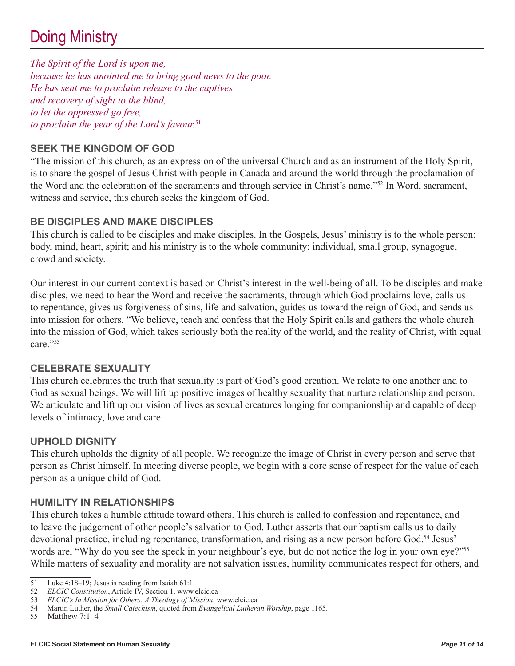# Doing Ministry

*The Spirit of the Lord is upon me, because he has anointed me to bring good news to the poor. He has sent me to proclaim release to the captives and recovery of sight to the blind, to let the oppressed go free, to proclaim the year of the Lord's favour.*<sup>51</sup>

# **Seek the Kingdom of God**

"The mission of this church, as an expression of the universal Church and as an instrument of the Holy Spirit, is to share the gospel of Jesus Christ with people in Canada and around the world through the proclamation of the Word and the celebration of the sacraments and through service in Christ's name."52 In Word, sacrament, witness and service, this church seeks the kingdom of God.

#### **Be Disciples and Make Disciples**

This church is called to be disciples and make disciples. In the Gospels, Jesus' ministry is to the whole person: body, mind, heart, spirit; and his ministry is to the whole community: individual, small group, synagogue, crowd and society.

Our interest in our current context is based on Christ's interest in the well-being of all. To be disciples and make disciples, we need to hear the Word and receive the sacraments, through which God proclaims love, calls us to repentance, gives us forgiveness of sins, life and salvation, guides us toward the reign of God, and sends us into mission for others. "We believe, teach and confess that the Holy Spirit calls and gathers the whole church into the mission of God, which takes seriously both the reality of the world, and the reality of Christ, with equal care."53

#### **Celebrate Sexuality**

This church celebrates the truth that sexuality is part of God's good creation. We relate to one another and to God as sexual beings. We will lift up positive images of healthy sexuality that nurture relationship and person. We articulate and lift up our vision of lives as sexual creatures longing for companionship and capable of deep levels of intimacy, love and care.

#### **Uphold Dignity**

This church upholds the dignity of all people. We recognize the image of Christ in every person and serve that person as Christ himself. In meeting diverse people, we begin with a core sense of respect for the value of each person as a unique child of God.

#### **Humility in Relationships**

This church takes a humble attitude toward others. This church is called to confession and repentance, and to leave the judgement of other people's salvation to God. Luther asserts that our baptism calls us to daily devotional practice, including repentance, transformation, and rising as a new person before God.<sup>54</sup> Jesus' words are, "Why do you see the speck in your neighbour's eye, but do not notice the log in your own eye?"<sup>55</sup> While matters of sexuality and morality are not salvation issues, humility communicates respect for others, and

<sup>51</sup> Luke 4:18–19; Jesus is reading from Isaiah 61:1<br>52 ELCIC Constitution, Article IV, Section 1. www.

<sup>52</sup> *ELCIC Constitution*, Article IV, Section 1. www.elcic.ca

<sup>53</sup> *ELCIC's In Mission for Others: A Theology of Mission*. www.elcic.ca

<sup>54</sup> Martin Luther, the *Small Catechism*, quoted from *Evangelical Lutheran Worship*, page 1165.

<sup>55</sup> Matthew 7:1–4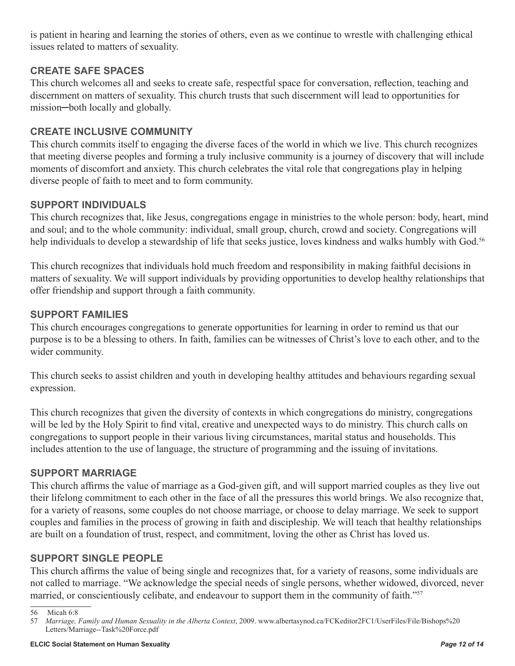is patient in hearing and learning the stories of others, even as we continue to wrestle with challenging ethical issues related to matters of sexuality.

# **Create Safe Spaces**

This church welcomes all and seeks to create safe, respectful space for conversation, reflection, teaching and discernment on matters of sexuality. This church trusts that such discernment will lead to opportunities for mission─both locally and globally.

# **Create Inclusive Community**

This church commits itself to engaging the diverse faces of the world in which we live. This church recognizes that meeting diverse peoples and forming a truly inclusive community is a journey of discovery that will include moments of discomfort and anxiety. This church celebrates the vital role that congregations play in helping diverse people of faith to meet and to form community.

# **Support Individuals**

This church recognizes that, like Jesus, congregations engage in ministries to the whole person: body, heart, mind and soul; and to the whole community: individual, small group, church, crowd and society. Congregations will help individuals to develop a stewardship of life that seeks justice, loves kindness and walks humbly with God.<sup>56</sup>

This church recognizes that individuals hold much freedom and responsibility in making faithful decisions in matters of sexuality. We will support individuals by providing opportunities to develop healthy relationships that offer friendship and support through a faith community.

# **Support Families**

This church encourages congregations to generate opportunities for learning in order to remind us that our purpose is to be a blessing to others. In faith, families can be witnesses of Christ's love to each other, and to the wider community.

This church seeks to assist children and youth in developing healthy attitudes and behaviours regarding sexual expression.

This church recognizes that given the diversity of contexts in which congregations do ministry, congregations will be led by the Holy Spirit to find vital, creative and unexpected ways to do ministry. This church calls on congregations to support people in their various living circumstances, marital status and households. This includes attention to the use of language, the structure of programming and the issuing of invitations.

# **Support Marriage**

This church affirms the value of marriage as a God-given gift, and will support married couples as they live out their lifelong commitment to each other in the face of all the pressures this world brings. We also recognize that, for a variety of reasons, some couples do not choose marriage, or choose to delay marriage. We seek to support couples and families in the process of growing in faith and discipleship. We will teach that healthy relationships are built on a foundation of trust, respect, and commitment, loving the other as Christ has loved us.

# **Support Single People**

This church affirms the value of being single and recognizes that, for a variety of reasons, some individuals are not called to marriage. "We acknowledge the special needs of single persons, whether widowed, divorced, never married, or conscientiously celibate, and endeavour to support them in the community of faith."<sup>57</sup>

<sup>56</sup> Micah 6:8

<sup>57</sup> *Marriage, Family and Human Sexuality in the Alberta Context*, 2009. www.albertasynod.ca/FCKeditor2FC1/UserFiles/File/Bishops%20 Letters/Marriage--Task%20Force.pdf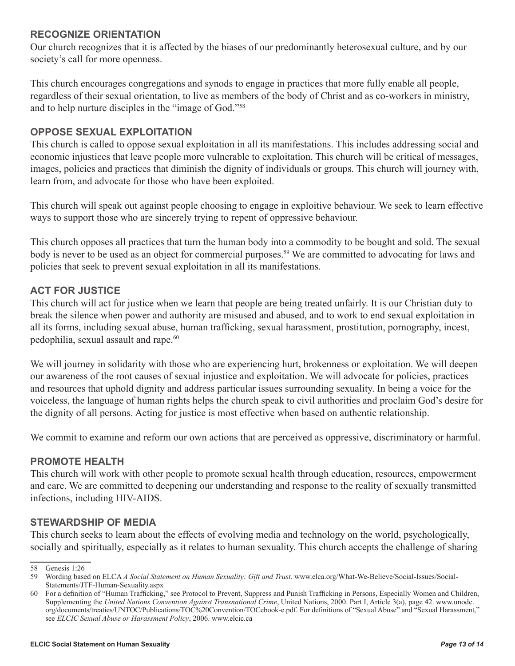#### **Recognize Orientation**

Our church recognizes that it is affected by the biases of our predominantly heterosexual culture, and by our society's call for more openness.

This church encourages congregations and synods to engage in practices that more fully enable all people, regardless of their sexual orientation, to live as members of the body of Christ and as co-workers in ministry, and to help nurture disciples in the "image of God."58

#### **Oppose Sexual Exploitation**

This church is called to oppose sexual exploitation in all its manifestations. This includes addressing social and economic injustices that leave people more vulnerable to exploitation. This church will be critical of messages, images, policies and practices that diminish the dignity of individuals or groups. This church will journey with, learn from, and advocate for those who have been exploited.

This church will speak out against people choosing to engage in exploitive behaviour. We seek to learn effective ways to support those who are sincerely trying to repent of oppressive behaviour.

This church opposes all practices that turn the human body into a commodity to be bought and sold. The sexual body is never to be used as an object for commercial purposes.<sup>59</sup> We are committed to advocating for laws and policies that seek to prevent sexual exploitation in all its manifestations.

# **Act for Justice**

This church will act for justice when we learn that people are being treated unfairly. It is our Christian duty to break the silence when power and authority are misused and abused, and to work to end sexual exploitation in all its forms, including sexual abuse, human trafficking, sexual harassment, prostitution, pornography, incest, pedophilia, sexual assault and rape.<sup>60</sup>

We will journey in solidarity with those who are experiencing hurt, brokenness or exploitation. We will deepen our awareness of the root causes of sexual injustice and exploitation. We will advocate for policies, practices and resources that uphold dignity and address particular issues surrounding sexuality. In being a voice for the voiceless, the language of human rights helps the church speak to civil authorities and proclaim God's desire for the dignity of all persons. Acting for justice is most effective when based on authentic relationship.

We commit to examine and reform our own actions that are perceived as oppressive, discriminatory or harmful.

# **Promote Health**

This church will work with other people to promote sexual health through education, resources, empowerment and care. We are committed to deepening our understanding and response to the reality of sexually transmitted infections, including HIV-AIDS.

# **Stewardship of Media**

This church seeks to learn about the effects of evolving media and technology on the world, psychologically, socially and spiritually, especially as it relates to human sexuality. This church accepts the challenge of sharing

<sup>58</sup> Genesis 1:26

<sup>59</sup> Wording based on ELCA *A Social Statement on Human Sexuality: Gift and Trust*. www.elca.org/What-We-Believe/Social-Issues/Social-Statements/JTF-Human-Sexuality.aspx

<sup>60</sup> For a definition of "Human Trafficking," see Protocol to Prevent, Suppress and Punish Trafficking in Persons, Especially Women and Children, Supplementing the *United Nations Convention Against Transnational Crime*, United Nations, 2000. Part I, Article 3(a), page 42. www.unodc. org/documents/treaties/UNTOC/Publications/TOC%20Convention/TOCebook-e.pdf. For definitions of "Sexual Abuse" and "Sexual Harassment," see *ELCIC Sexual Abuse or Harassment Policy*, 2006. www.elcic.ca